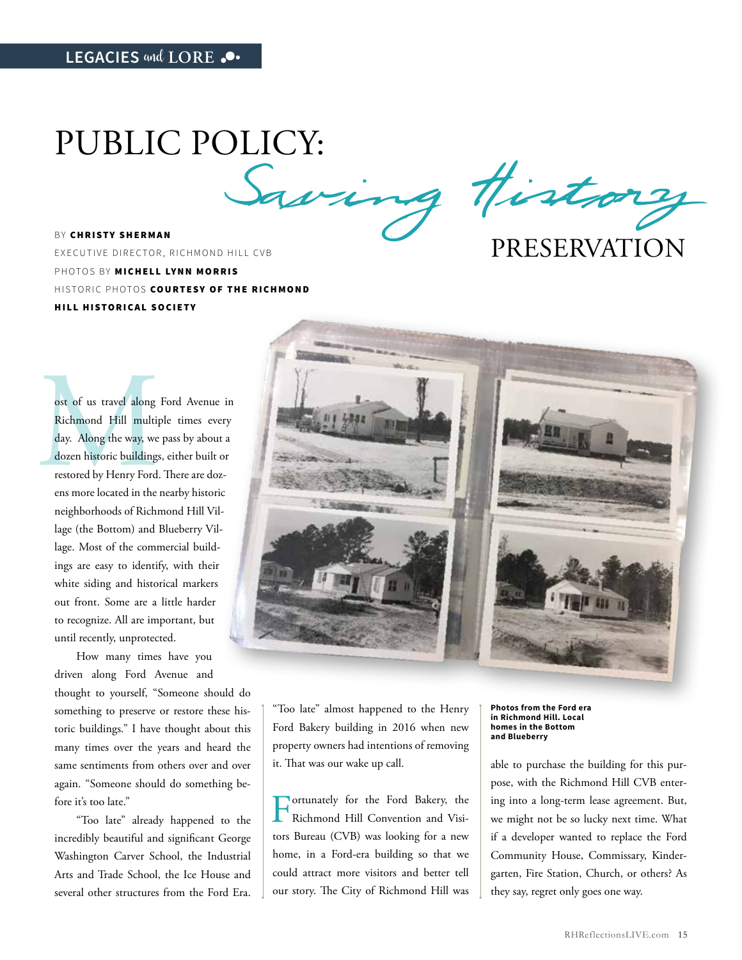PUBLIC POLICY:<br>Saving History

BY CHRISTY SHERMAN EXECUTIVE DIRECTOR, RICHMOND HILL CVB PHOTOS BY MICHELL LYNN MORRIS HISTORIC PHOTOS COURTESY OF THE RICHMOND HILL HISTORICAL SOCIETY

## PRESERVATION

ost of us travel along Ford Avenue in<br>Richmond Hill multiple times every<br>day. Along the way, we pass by about a<br>dozen historic buildings, either built or<br>restored by Henry Ford. There are doz-<br>ens more located in the nearb Richmond Hill multiple times every day. Along the way, we pass by about a dozen historic buildings, either built or restored by Henry Ford. There are dozens more located in the nearby historic neighborhoods of Richmond Hill Village (the Bottom) and Blueberry Village. Most of the commercial buildings are easy to identify, with their white siding and historical markers out front. Some are a little harder to recognize. All are important, but until recently, unprotected.

How many times have you driven along Ford Avenue and thought to yourself, "Someone should do something to preserve or restore these historic buildings." I have thought about this many times over the years and heard the same sentiments from others over and over again. "Someone should do something before it's too late."

"Too late" already happened to the incredibly beautiful and significant George Washington Carver School, the Industrial Arts and Trade School, the Ice House and several other structures from the Ford Era.



"Too late" almost happened to the Henry Ford Bakery building in 2016 when new property owners had intentions of removing it. That was our wake up call.

Fortunately for the Ford Bakery, the Richmond Hill Convention and Visitors Bureau (CVB) was looking for a new home, in a Ford-era building so that we could attract more visitors and better tell our story. The City of Richmond Hill was

**Photos from the Ford era in Richmond Hill. Local homes in the Bottom and Blueberry**

able to purchase the building for this purpose, with the Richmond Hill CVB entering into a long-term lease agreement. But, we might not be so lucky next time. What if a developer wanted to replace the Ford Community House, Commissary, Kindergarten, Fire Station, Church, or others? As they say, regret only goes one way.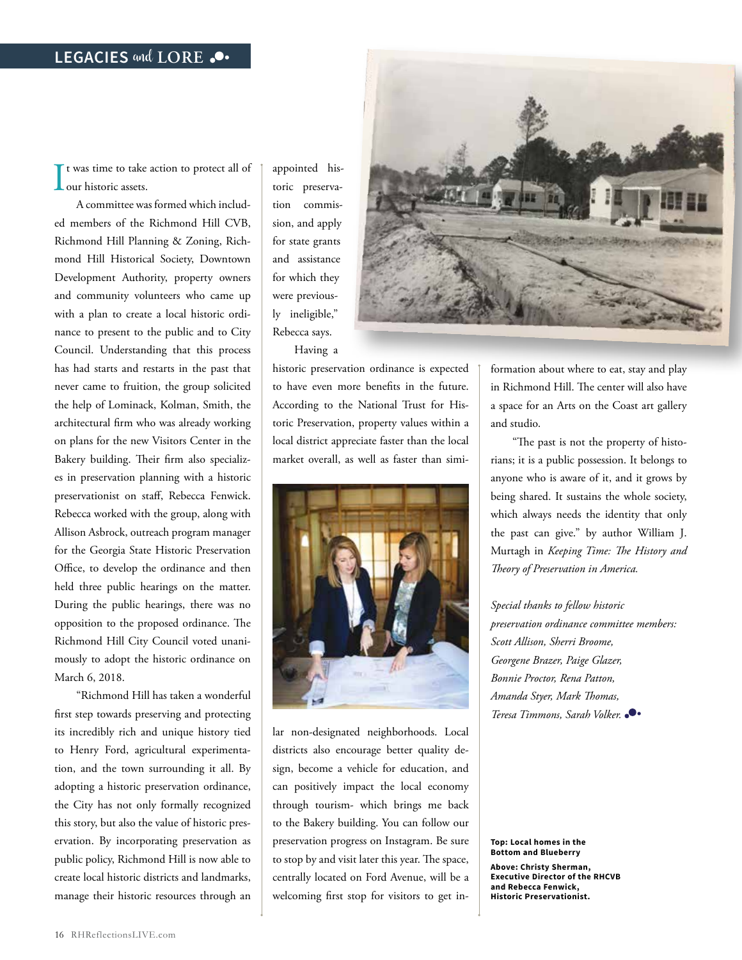If was time to take action to protect all of<br>our historic assets. **L**our historic assets.

A committee was formed which included members of the Richmond Hill CVB, Richmond Hill Planning & Zoning, Richmond Hill Historical Society, Downtown Development Authority, property owners and community volunteers who came up with a plan to create a local historic ordinance to present to the public and to City Council. Understanding that this process has had starts and restarts in the past that never came to fruition, the group solicited the help of Lominack, Kolman, Smith, the architectural firm who was already working on plans for the new Visitors Center in the Bakery building. Their firm also specializes in preservation planning with a historic preservationist on staff, Rebecca Fenwick. Rebecca worked with the group, along with Allison Asbrock, outreach program manager for the Georgia State Historic Preservation Office, to develop the ordinance and then held three public hearings on the matter. During the public hearings, there was no opposition to the proposed ordinance. The Richmond Hill City Council voted unanimously to adopt the historic ordinance on March 6, 2018.

"Richmond Hill has taken a wonderful first step towards preserving and protecting its incredibly rich and unique history tied to Henry Ford, agricultural experimentation, and the town surrounding it all. By adopting a historic preservation ordinance, the City has not only formally recognized this story, but also the value of historic preservation. By incorporating preservation as public policy, Richmond Hill is now able to create local historic districts and landmarks, manage their historic resources through an

appointed historic preservation commission, and apply for state grants and assistance for which they were previously ineligible," Rebecca says. Having a

historic preservation ordinance is expected to have even more benefits in the future. According to the National Trust for Historic Preservation, property values within a local district appreciate faster than the local market overall, as well as faster than simi-



lar non-designated neighborhoods. Local districts also encourage better quality design, become a vehicle for education, and can positively impact the local economy through tourism- which brings me back to the Bakery building. You can follow our preservation progress on Instagram. Be sure to stop by and visit later this year. The space, centrally located on Ford Avenue, will be a welcoming first stop for visitors to get in-

formation about where to eat, stay and play in Richmond Hill. The center will also have a space for an Arts on the Coast art gallery and studio.

"The past is not the property of historians; it is a public possession. It belongs to anyone who is aware of it, and it grows by being shared. It sustains the whole society, which always needs the identity that only the past can give." by author William J. Murtagh in *Keeping Time: The History and Theory of Preservation in America.*

*Special thanks to fellow historic preservation ordinance committee members: Scott Allison, Sherri Broome, Georgene Brazer, Paige Glazer, Bonnie Proctor, Rena Patton, Amanda Styer, Mark Thomas, Teresa Timmons, Sarah Volker.* 

**Top: Local homes in the Bottom and Blueberry Above: Christy Sherman, Executive Director of the RHCVB and Rebecca Fenwick, Historic Preservationist.**